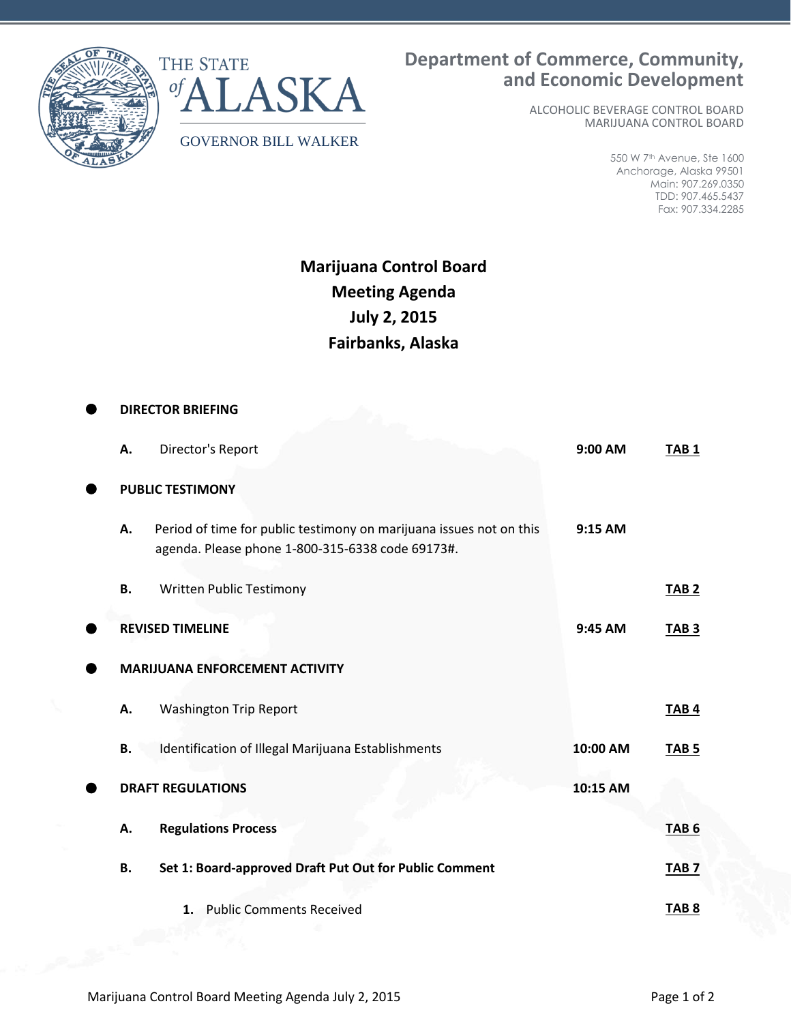

## **Department of Commerce, Community, and Economic Development**

 ALCOHOLIC BEVERAGE CONTROL BOARD MARIJUANA CONTROL BOARD

> 550 W 7th Avenue, Ste 1600 Anchorage, Alaska 99501 Main: 907.269.0350 TDD: 907.465.5437 Fax: 907.334.2285

## **Marijuana Control Board Meeting Agenda July 2, 2015 Fairbanks, Alaska**

|                                       | <b>DIRECTOR BRIEFING</b>                                                                                                |          |                  |  |
|---------------------------------------|-------------------------------------------------------------------------------------------------------------------------|----------|------------------|--|
| Α.                                    | Director's Report                                                                                                       | 9:00 AM  | TAB <sub>1</sub> |  |
| <b>PUBLIC TESTIMONY</b>               |                                                                                                                         |          |                  |  |
| Α.                                    | Period of time for public testimony on marijuana issues not on this<br>agenda. Please phone 1-800-315-6338 code 69173#. | 9:15 AM  |                  |  |
| В.                                    | <b>Written Public Testimony</b>                                                                                         |          | TAB <sub>2</sub> |  |
|                                       | <b>REVISED TIMELINE</b>                                                                                                 | 9:45 AM  | TAB <sub>3</sub> |  |
| <b>MARIJUANA ENFORCEMENT ACTIVITY</b> |                                                                                                                         |          |                  |  |
| Α.                                    | <b>Washington Trip Report</b>                                                                                           |          | TAB <sub>4</sub> |  |
| В.                                    | Identification of Illegal Marijuana Establishments                                                                      | 10:00 AM | TAB <sub>5</sub> |  |
|                                       | <b>DRAFT REGULATIONS</b>                                                                                                | 10:15 AM |                  |  |
| А.                                    | <b>Regulations Process</b>                                                                                              |          | <b>TAB 6</b>     |  |
| <b>B.</b>                             | Set 1: Board-approved Draft Put Out for Public Comment                                                                  |          | TAB <sub>7</sub> |  |
|                                       | 1. Public Comments Received                                                                                             |          | TAB <sub>8</sub> |  |